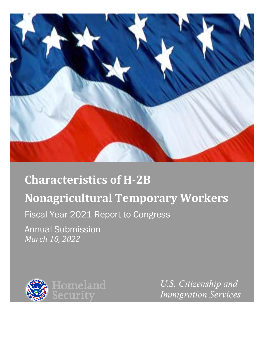

# **Characteristics of H-2B Nonagricultural Temporary Workers**

# Fiscal Year 2021 Report to Congress

Annual Submission *March 10, 2022* 



*U.S. Citizenship and Immigration Services*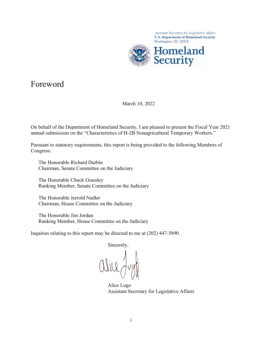

*Assistant Secretary for Legislative Affairs* 

### Foreword

March 10, 2022

 On behalf of the Department of Homeland Security, I am pleased to present the Fiscal Year 2021 annual submission on the "Characteristics of H-2B Nonagricultural Temporary Workers."

annual submission on the "Characteristics of H-2B Nonagricultural Temporary Workers."<br>Pursuant to statutory requirements, this report is being provided to the following Members of Congress:

 Chairman, Senate Committee on the Judiciary The Honorable Richard Durbin

The Honorable Chuck Grassley Ranking Member, Senate Committee on the Judiciary

The Honorable Jerrold Nadler Chairman, House Committee on the Judiciary

 The Honorable Jim Jordan Ranking Member, House Committee on the Judiciary

Inquiries relating to this report may be directed to me at (202) 447-5890.

Sincerely,

 Assistant Secretary for Legislative Affairs Alice Lugo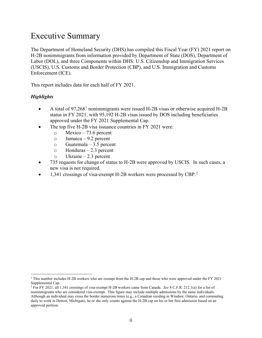## Executive Summary

 The Department of Homeland Security (DHS) has compiled this Fiscal Year (FY) 2021 report on (USCIS), U.S. Customs and Border Protection (CBP), and U.S. Immigration and Customs Enforcement (ICE). H-2B nonimmigrants from information provided by Department of State (DOS), Department of Labor (DOL), and three Components within DHS: U.S. Citizenship and Immigration Services

This report includes data for each half of FY 2021.

#### *Highlights*

- A total of  $97,268<sup>1</sup>$  $97,268<sup>1</sup>$  $97,268<sup>1</sup>$  nonimmigrants were issued H-2B visas or otherwise acquired H-2B status in FY 2021, with 95,192 H-2B visas issued by DOS including beneficiaries approved under the FY 2021 Supplemental Cap.
- The top five H-2B visa issuance countries in FY 2021 were:
	- $\circ$  Mexico 73.6 percent
	- o Jamaica 9.2 percent
	- $\circ$  Guatemala 3.5 percent
	- o Honduras 2.3 percent
	- o Ukraine 2.3 percent
- new visa is not required. • 735 requests for change of status to H-2B were approved by USCIS. In such cases, a
- 1,341 crossings of visa-exempt H-[2](#page-2-1)B workers were processed by CBP.<sup>2</sup>

<span id="page-2-0"></span>Supplemental Cap. 1 This number includes H-2B workers who are exempt from the H-2B cap and those who were approved under the FY 2021

<span id="page-2-1"></span>Supplemental Cap.<br><sup>2</sup> For FY 2021, all 1,341 crossings of visa-exempt H-2B workers came from Canada. *See* 8 C.F.R. 212.1(a) for a list of nonimmigrants who are considered visa-exempt. This figure may include multiple admissions by the same individuals. approved petition. Although an individual may cross the border numerous times (e.g., a Canadian residing in Windsor, Ontario, and commuting daily to work in Detroit, Michigan), he or she only counts against the H-2B cap on his or her first admission based on an approved petition.<br> $\ddot{\textbf{i}}$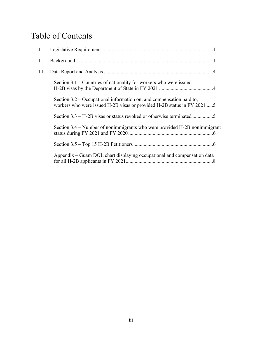# Table of Contents

| I. |                                                                                                                                                    |
|----|----------------------------------------------------------------------------------------------------------------------------------------------------|
| П. |                                                                                                                                                    |
| Ш. |                                                                                                                                                    |
|    | Section $3.1$ – Countries of nationality for workers who were issued                                                                               |
|    | Section $3.2$ – Occupational information on, and compensation paid to,<br>workers who were issued H-2B visas or provided H-2B status in FY 2021  5 |
|    | Section 3.3 – H-2B visas or status revoked or otherwise terminated 5                                                                               |
|    | Section 3.4 – Number of nonimmigrants who were provided H-2B nonimmigrant                                                                          |
|    |                                                                                                                                                    |
|    | Appendix – Guam DOL chart displaying occupational and compensation data                                                                            |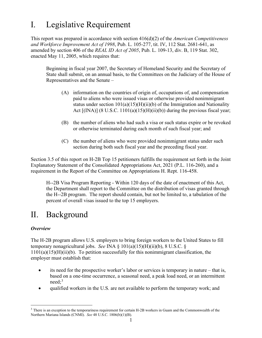# <span id="page-4-0"></span>I. Legislative Requirement

This report was prepared in accordance with section 416(d)(2) of the *American Competitiveness and Workforce Improvement Act of 1998*, Pub. L. 105-277, tit. IV, 112 Stat. 2681-641, as amended by section 406 of the *REAL ID Act of 2005*, Pub. L. 109-13, div. B, 119 Stat. 302, enacted May 11, 2005, which requires that:

 Representatives and the Senate – Beginning in fiscal year 2007, the Secretary of Homeland Security and the Secretary of State shall submit, on an annual basis, to the Committees on the Judiciary of the House of

- Act [(INA)] (8 U.S.C. 1101(a)(15)(H)(ii)(b)) during the previous fiscal year; (A) information on the countries of origin of, occupations of, and compensation paid to aliens who were issued visas or otherwise provided nonimmigrant status under section  $101(a)(15)(H)(ii)(b)$  of the Immigration and Nationality
- (B) the number of aliens who had such a visa or such status expire or be revoked or otherwise terminated during each month of such fiscal year; and
- (C) the number of aliens who were provided nonimmigrant status under such section during both such fiscal year and the preceding fiscal year.

Section 3.5 of this report on H-2B Top 15 petitioners fulfills the requirement set forth in the Joint Explanatory Statement of the Consolidated Appropriations Act, 2021 (P.L. 116-260), and a requirement in the Report of the Committee on Appropriations H. Rept. 116-458.

 H--2B Visa Program Reporting - Within 120 days of the date of enactment of this Act, the H--2B program. The report should contain, but not be limited to, a tabulation of the the Department shall report to the Committee on the distribution of visas granted through percent of overall visas issued to the top 15 employers.

# II. Background

#### *Overview*

 The H-2B program allows U.S. employers to bring foreign workers to the United States to fill temporary nonagricultural jobs. *See* INA § 101(a)(15)(H)(ii)(b), 8 U.S.C. §  $1101(a)(15)(H)(ii)(b)$ . To petition successfully for this nonimmigrant classification, the employer must establish that:

- its need for the prospective worker's labor or services is temporary in nature that is, based on a one-time occurrence, a seasonal need, a peak load need, or an intermittent need; [3](#page-4-1)
- qualified workers in the U.S. are not available to perform the temporary work; and

<span id="page-4-1"></span> Northern Mariana Islands (CNMI). *See* 48 U.S.C. 1806(b)(1)(B). 1 <sup>3</sup> There is an exception to the temporariness requirement for certain H-2B workers in Guam and the Commonwealth of the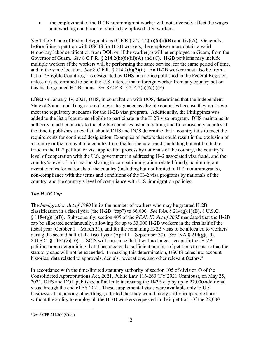• the employment of the H-2B nonimmigrant worker will not adversely affect the wages and working conditions of similarly employed U.S. workers.

 *See* Title 8 Code of Federal Regulations (C.F.R.) § 214.2(h)(6)(ii)(B) and (iv)(A). Generally, temporary labor certification from DOL or, if the worker(s) will be employed in Guam, from the and in the same location. *See* 8 C.F.R. § 214.2(h)(2)(ii). An H-2B worker must also be from a before filing a petition with USCIS for H-2B workers, the employer must obtain a valid Governor of Guam. *See* 8 C.F.R. § 214.2(h)(6)(iii)(A) and (C). H-2B petitions may include multiple workers if the workers will be performing the same service, for the same period of time, list of "Eligible Countries," as designated by DHS in a notice published in the Federal Register, unless it is determined to be in the U.S. interest that a foreign worker from any country not on this list be granted H-2B status. *See* 8 C.F.R.  $\S$  214.2(h)(6)(i)(E).

 Effective January 19, 2021, DHS, in consultation with DOS, determined that the Independent added to the list of countries eligible to participate in the H-2B visa program. DHS maintains its the time it publishes a new list, should DHS and DOS determine that a country fails to meet the a country or the removal of a country from the list include fraud (including but not limited to State of Samoa and Tonga are no longer designated as eligible countries because they no longer meet the regulatory standards for the H-2B visa program. Additionally, the Philippines was authority to add countries to the eligible countries list at any time, and to remove any country at requirements for continued designation. Examples of factors that could result in the exclusion of fraud in the H–2 petition or visa application process by nationals of the country, the country's level of cooperation with the U.S. government in addressing H–2 associated visa fraud, and the country's level of information sharing to combat immigration-related fraud), nonimmigrant overstay rates for nationals of the country (including but not limited to H–2 nonimmigrants), non-compliance with the terms and conditions of the H–2 visa programs by nationals of the country, and the country's level of compliance with U.S. immigration policies.

#### *The H-2B Cap*

 The *Immigration Act of 1990* limits the number of workers who may be granted H-2B classification in a fiscal year (the H-2B "cap") to 66,000. *See* INA § 214(g)(1)(B), 8 U.S.C. during the second half of the fiscal year (April 1 – September 30). *See* INA § 214(g)(10), historical data related to approvals, denials, revocations, and other relevant factors.<sup>[4](#page-5-0)</sup> § 1184(g)(1)(B). Subsequently, section 405 of the *REAL ID Act of 2005* mandated that the H-2B cap be allocated semiannually, allowing for up to 33,000 H-2B workers in the first half of the fiscal year (October 1 – March 31), and for the remaining H-2B visas to be allocated to workers 8 U.S.C. § 1184(g)(10). USCIS will announce that it will no longer accept further H-2B petitions upon determining that it has received a sufficient number of petitions to ensure that the statutory caps will not be exceeded. In making this determination, USCIS takes into account

 2021, DHS and DOL published a final rule increasing the H-2B cap by up to 22,000 additional without the ability to employ all the H-2B workers requested in their petition. Of the 22,000 In accordance with the time-limited statutory authority of section 105 of division O of the Consolidated Appropriations Act, 2021, Public Law 116-260 (FY 2021 Omnibus), on May 25, visas through the end of FY 2021. These supplemental visas were available only to U.S. businesses that, among other things, attested that they would likely suffer irreparable harm

<span id="page-5-0"></span><sup>4</sup>*See* 8 CFR 214.2(h)(8)(vii).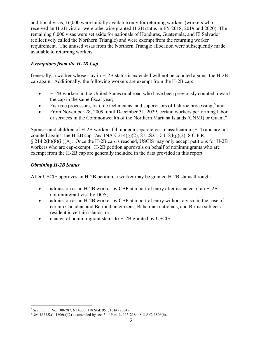additional visas, 16,000 were initially available only for returning workers (workers who received an H-2B visa or were otherwise granted H-2B status in FY 2018, 2019 and 2020). The remaining 6,000 visas were set aside for nationals of Honduras, Guatemala, and El Salvador (collectively called the Northern Triangle) and were exempt from the returning worker requirement. The unused visas from the Northern Triangle allocation were subsequently made available to returning workers.

#### *Exemptions from the H-2B Cap*

 Generally, a worker whose stay in H-2B status is extended will not be counted against the H-2B cap again. Additionally, the following workers are exempt from the H-2B cap:

- H-2B workers in the United States or abroad who have been previously counted toward the cap in the same fiscal year;
- Fish roe processors, fish roe technicians, and supervisors of fish roe processing;<sup>[5](#page-6-0)</sup> and
- From November 28, 2009, until December 31, 2029, certain workers performing labor or services in the Commonwealth of the Northern Mariana Islands (CNMI) or Guam.<sup>[6](#page-6-1)</sup>

 Spouses and children of H-2B workers fall under a separate visa classification (H-4) and are not counted against the H-2B cap. *See* INA § 214(g)(2), 8 U.S.C. § 1184(g)(2); 8 C.F.R. § 214.2(h)(8)(ii)(A). Once the H-2B cap is reached, USCIS may only accept petitions for H-2B workers who are cap-exempt. H-2B petition approvals on behalf of nonimmigrants who are exempt from the H-2B cap are generally included in the data provided in this report.

#### *Obtaining H-2B Status*

After USCIS approves an H-2B petition, a worker may be granted H-2B status through:

- • admission as an H-2B worker by CBP at a port of entry after issuance of an H-2B nonimmigrant visa by DOS;
- admission as an H-2B worker by CBP at a port of entry without a visa, in the case of certain Canadian and Bermudian citizens, Bahamian nationals, and British subjects resident in certain islands; or
- change of nonimmigrant status to H-2B granted by USCIS.

<sup>&</sup>lt;sup>5</sup> See Pub. L. No. 108-287, § 14006, 118 Stat. 951, 1014 (2004).

<span id="page-6-1"></span><span id="page-6-0"></span> <sup>5</sup>*See* Pub. L. No. 108-287, § 14006, 118 Stat. 951, 1014 (2004). 6 *See* 48 U.S.C. 1806(a)(2) as amended by sec. 3 of Pub. L. 115-218; 48 U.S.C. 1806(b).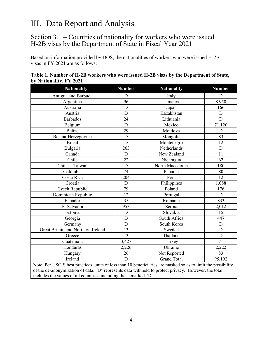# III. Data Report and Analysis

### Section 3.1 – Countries of nationality for workers who were issued H-2B visas by the Department of State in Fiscal Year 2021

 Based on information provided by DOS, the nationalities of workers who were issued H-2B visas in FY 2021 are as follows:

| <b>Nationality</b>                                                                                           | <b>Number</b> | <b>Nationality</b> | <b>Number</b>  |  |  |
|--------------------------------------------------------------------------------------------------------------|---------------|--------------------|----------------|--|--|
| Antigua and Barbuda                                                                                          | D             | Italy              | D              |  |  |
| Argentina                                                                                                    | 96            | Jamaica            | 8,950          |  |  |
| Australia                                                                                                    | D             | Japan              | 166            |  |  |
| Austria                                                                                                      | D             | Kazakhstan         | $\mathbf D$    |  |  |
| <b>Barbados</b>                                                                                              | 24            | Lithuania          | $\overline{D}$ |  |  |
| Belgium                                                                                                      | D             | Mexico             | 71,120         |  |  |
| <b>Belize</b>                                                                                                | 29            | Moldova            | D              |  |  |
| Bosnia-Herzegovina                                                                                           | D             | Mongolia           | 83             |  |  |
| <b>Brazil</b>                                                                                                | D             | Montenegro         | 12             |  |  |
| Bulgaria                                                                                                     | 263           | Netherlands        | D              |  |  |
| Canada                                                                                                       | $\mathbf D$   | New Zealand        | 11             |  |  |
| Chile                                                                                                        | 22            | Nicaragua          | 62             |  |  |
| China - Taiwan                                                                                               | D             | North Macedonia    | 180            |  |  |
| Colombia                                                                                                     | 74            | Panama             | 80             |  |  |
| Costa Rica                                                                                                   | 204           | Peru               | 12             |  |  |
| Croatia                                                                                                      | D             | Philippines        | 1,088          |  |  |
| Czech Republic                                                                                               | 79            | Poland             | 176            |  |  |
| Dominican Republic                                                                                           | 12            | Portugal           | D              |  |  |
| Ecuador                                                                                                      | 35            | Romania            | 833            |  |  |
| El Salvador                                                                                                  | 953           | Serbia             | 2,012          |  |  |
| Estonia                                                                                                      | D             | Slovakia           | 15             |  |  |
| Georgia                                                                                                      | D             | South Africa       | 447            |  |  |
| Germany                                                                                                      | D             | South Korea        | D              |  |  |
| Great Britain and Northern Ireland                                                                           | 13            | Sweden             | D              |  |  |
| Greece                                                                                                       | 13            | Thailand           | D              |  |  |
| Guatemala                                                                                                    | 3,427         | Turkey             | 71             |  |  |
| Honduras                                                                                                     | 2,226         | Ukraine            | 2,222          |  |  |
| Hungary                                                                                                      | 26            | Not Reported       | 83             |  |  |
| Ireland                                                                                                      | D             | <b>Grand Total</b> | 95,192         |  |  |
| Note: Per USCIS best prectices units of less than 10 beneficiaries are masked so as to limit the possibility |               |                    |                |  |  |

| Table 1. Number of H-2B workers who were issued H-2B visas by the Department of State, |  |
|----------------------------------------------------------------------------------------|--|
| by Nationality, FY 2021                                                                |  |

Note: Per USCIS best practices, units of less than 10 beneficiaries are masked so as to limit the possibility of the de-anonymization of data. "D" represents data withheld to protect privacy. However, the total includes the values of all countries, including those marked "D".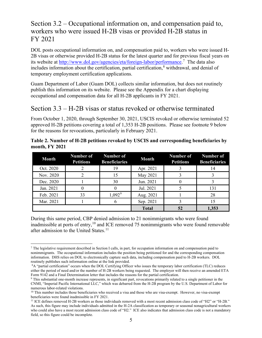### FY 2021 Section 3.2 – Occupational information on, and compensation paid to, workers who were issued H-2B visas or provided H-2B status in

its website at http://www.dol.gov/agencies/eta/foreign-labor/performance.<sup>[7](#page-8-0)</sup> The data also DOL posts occupational information on, and compensation paid to, workers who were issued H-2B visas or otherwise provided H-2B status for the latest quarter and for previous fiscal years on includes information about the certification, partial certification, $\delta$  withdrawal, and denial of temporary employment certification applications.

 Guam Department of Labor (Guam DOL) collects similar information, but does not routinely publish this information on its website. Please see the Appendix for a chart displaying occupational and compensation data for all H-2B applicants in FY 2021.

### Section 3.3 – H-2B visas or status revoked or otherwise terminated

 From October 1, 2020, through September 30, 2021, USCIS revoked or otherwise terminated 52 approved H-2B petitions covering a total of 1,353 H-2B positions. Please see footnote 9 below for the reasons for revocations, particularly in February 2021.

| <b>Month</b> | Number of<br><b>Petitions</b> | <b>Number of</b><br><b>Beneficiaries</b> | <b>Month</b> | <b>Number of</b><br><b>Petitions</b> | Number of<br><b>Beneficiaries</b> |
|--------------|-------------------------------|------------------------------------------|--------------|--------------------------------------|-----------------------------------|
| Oct. 2020    |                               | 19                                       | Apr. 2021    |                                      | 14                                |
| Nov. 2020    |                               | 15                                       | May 2021     |                                      |                                   |
| Dec. 2020    |                               | 30                                       | Jun. 2021    |                                      |                                   |
| Jan. 2021    |                               |                                          | Jul. 2021    |                                      | 131                               |
| Feb. 2021    | 33                            | $1,092^9$                                | Aug. 2021    |                                      | 28                                |
| Mar. 2021    |                               |                                          | Sep. 2021    |                                      |                                   |
|              |                               |                                          | <b>Total</b> | 52                                   | 1,353                             |

**Table 2. Number of H-2B petitions revoked by USCIS and corresponding beneficiaries by month, FY 2021** 

 During this same period, CBP denied admission to 21 nonimmigrants who were found inadmissible at ports of entry, [10](#page-8-3) and ICE removed 75 nonimmigrants who were found removable after admission to the United States.<sup>11</sup>

<span id="page-8-0"></span> nonimmigrants. The occupational information includes the position being petitioned for and the corresponding compensation information. DHS relies on DOL to electronically capture such data, including compensation paid to H-2B workers. DOL routinely publishes such information online at the link provided. 7 The legislative requirement described in Section I calls, in part, for occupation information on and compensation paid to

<span id="page-8-1"></span> either the period of need and/or the number of H-2B workers being requested. The employer will then receive an amended ETA 8A "partial certification" occurs when the DOL Certifying Officer who issues the temporary labor certification (TLC) reduces Form 9142 and a Final Determination letter that includes the reasons for the partial certification.

<span id="page-8-2"></span><sup>9</sup> This substantial one-month increase represents, in significant part, revocations primarily related to a single petitioner in the CNMI, "Imperial Pacific International LLC," which was debarred from the H-2B program by the U.S. Department of Labor for

<span id="page-8-3"></span>numerous labor-related violations.<br><sup>10</sup> This number includes those beneficiaries who received a visa and those who are visa-exempt. However, no visa-exempt beneficiaries were found inadmissible in FY 2021.

<span id="page-8-4"></span> who could also have a most recent admission class code of "H2." ICE also indicates that admission class code is not a mandatory beneficiaries were found inadmissible in FY 2021.<br><sup>11</sup> ICE defines removed H-2B workers as those individuals removed with a most recent admission class code of "H2" or "H-2B."<br>As such, this figure may include individuals a field, so this figure could be incomplete.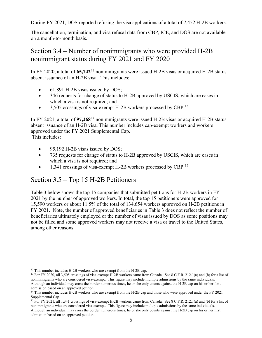<span id="page-9-0"></span>During FY 2021, DOS reported refusing the visa applications of a total of 7,452 H-2B workers.

The cancellation, termination, and visa refusal data from CBP, ICE, and DOS are not available on a month-to-month basis.

### Section 3.4 – Number of nonimmigrants who were provided H-2B nonimmigrant status during FY 2021 and FY 2020

In FY 2020, a total of **65,742**[12](#page-9-1) nonimmigrants were issued H-2B visas or acquired H-2B status absent issuance of an H-2B visa. This includes:

- 61,891 H-2B visas issued by DOS;
- 346 requests for change of status to H-2B approved by USCIS, which are cases in which a visa is not required; and
- $\bullet$  3,505 crossings of visa-exempt H-2B workers processed by CBP.<sup>[13](#page-9-2)</sup>

In FY 2021, a total of **97,268**[14](#page-9-3) nonimmigrants were issued H-2B visas or acquired H-2B status absent issuance of an H-2B visa. This number includes cap-exempt workers and workers approved under the FY 2021 Supplemental Cap.

This includes:

- 95,192 H-2B visas issued by DOS;
- 735 requests for change of status to H-2B approved by USCIS, which are cases in which a visa is not required; and
- $\bullet$  1,341 crossings of visa-exempt H-2B workers processed by CBP.<sup>[15](#page-9-4)</sup>

### Section 3.5 – Top 15 H-2B Petitioners

 Table 3 below shows the top 15 companies that submitted petitions for H-2B workers in FY 2021 by the number of approved workers. In total, the top 15 petitioners were approved for 15,590 workers or about 11.5% of the total of 134,654 workers approved on H-2B petitions in not be filled and some approved workers may not receive a visa or travel to the United States, FY 2021. Note, the number of approved beneficiaries in Table 3 does not reflect the number of beneficiaries ultimately employed or the number of visas issued by DOS as some positions may among other reasons.

<span id="page-9-2"></span><span id="page-9-1"></span><sup>&</sup>lt;sup>12</sup> This number includes H-2B workers who are exempt from the H-2B cap.<br><sup>13</sup> For FY 2020, all 3,505 crossings of visa-exempt H-2B workers came from Canada. See 8 C.F.R. 212.1(a) and (b) for a list of nonimmigrants who are considered visa-exempt. This figure may include multiple admissions by the same individuals. nonimmigrants who are considered visa-exempt. This figure may include multiple admissions by the same individuals.<br>Although an individual may cross the border numerous times, he or she only counts against the H-2B cap on h admission based on an approved petition.

<span id="page-9-3"></span><sup>&</sup>lt;sup>14</sup> This number includes H-2B workers who are exempt from the H-2B cap and those who were approved under the FY 2021 Supplemental Cap.

<span id="page-9-4"></span>nonimmigrants who are considered visa-exempt. This figure may include multiple admissions by the same individuals. admission based on an approved petition.<br>
6 <sup>15</sup> For FY 2021, all 1,341 crossings of visa-exempt H-2B workers came from Canada. See 8 C.F.R. 212.1(a) and (b) for a list of Although an individual may cross the border numerous times, he or she only counts against the H-2B cap on his or her first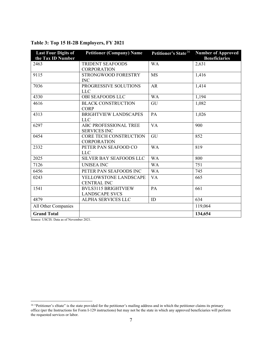| <b>Last Four Digits of</b><br>the Tax ID Number | <b>Petitioner (Company) Name</b>                    | Petitioner's State <sup>16</sup> | <b>Number of Approved</b><br><b>Beneficiaries</b> |
|-------------------------------------------------|-----------------------------------------------------|----------------------------------|---------------------------------------------------|
| 2463                                            | <b>TRIDENT SEAFOODS</b><br><b>CORPORATION</b>       | <b>WA</b>                        | 2,631                                             |
| 9115                                            | STRONGWOOD FORESTRY<br><b>INC</b>                   | <b>MS</b>                        | 1,416                                             |
| 7036                                            | PROGRESSIVE SOLUTIONS<br><b>LLC</b>                 | AR                               | 1,414                                             |
| 4330                                            | <b>OBI SEAFOODS LLC</b>                             | <b>WA</b>                        | 1,194                                             |
| 4616                                            | <b>BLACK CONSTRUCTION</b><br><b>CORP</b>            | GU                               | 1,082                                             |
| 4313                                            | <b>BRIGHTVIEW LANDSCAPES</b><br><b>LLC</b>          | PA                               | 1,026                                             |
| 6297                                            | ABC PROFESSIONAL TREE<br><b>SERVICES INC</b>        | <b>VA</b>                        | 900                                               |
| 0454                                            | CORE TECH CONSTRUCTION<br><b>CORPORATION</b>        | GU                               | 852                                               |
| 2332                                            | PETER PAN SEAFOOD CO<br><b>LLC</b>                  | <b>WA</b>                        | 819                                               |
| 2025                                            | SILVER BAY SEAFOODS LLC                             | <b>WA</b>                        | 800                                               |
| 7126                                            | <b>UNISEA INC</b>                                   | <b>WA</b>                        | 751                                               |
| 6456                                            | PETER PAN SEAFOODS INC                              | <b>WA</b>                        | 745                                               |
| 0243                                            | YELLOWSTONE LANDSCAPE<br><b>CENTRAL INC</b>         | <b>VA</b>                        | 665                                               |
| 1541                                            | <b>BVLS3115 BRIGHTVIEW</b><br><b>LANDSCAPE SVCS</b> | PA                               | 661                                               |
| 4879                                            | ALPHA SERVICES LLC                                  | ID                               | 634                                               |
| All Other Companies                             |                                                     |                                  | 119,064                                           |
| <b>Grand Total</b>                              |                                                     |                                  | 134,654                                           |

#### **Table 3: Top 15 H-2B Employers, FY 2021**

Source: USCIS. Data as of November 2021.

<span id="page-10-0"></span><sup>&</sup>lt;sup>16</sup> "Petitioner's sState" is the state provided for the petitioner's mailing address and in which the petitioner claims its primary office (per the Instructions for Form I-129 instructions) but may not be the state in which any approved beneficiaries will perform the requested services or labor.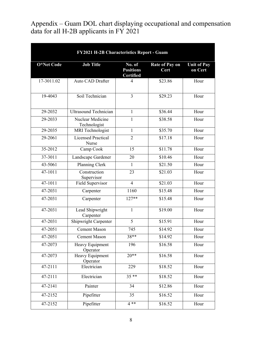Appendix – Guam DOL chart displaying occupational and compensation data for all H-2B applicants in FY 2021

| FY2021 H-2B Characteristics Report - Guam |                                    |                                                |                               |                               |  |  |
|-------------------------------------------|------------------------------------|------------------------------------------------|-------------------------------|-------------------------------|--|--|
| O*Net Code                                | <b>Job Title</b>                   | No. of<br><b>Positions</b><br><b>Certified</b> | <b>Rate of Pay on</b><br>Cert | <b>Unit of Pay</b><br>on Cert |  |  |
| 17-3011.02                                | <b>Auto CAD Drafter</b>            | 4                                              | \$23.86                       | Hour                          |  |  |
| 19-4043                                   | Soil Technician                    | 3                                              | \$29.23                       | Hour                          |  |  |
| 29-2032                                   | <b>Ultrasound Technician</b>       | $\mathbf{1}$                                   | \$36.44                       | Hour                          |  |  |
| 29-2033                                   | Nuclear Medicine<br>Technologist   | 1                                              | \$38.58                       | Hour                          |  |  |
| 29-2035                                   | <b>MRI</b> Technologist            | $\mathbf{1}$                                   | \$35.70                       | Hour                          |  |  |
| 29-2061                                   | <b>Licensed Practical</b><br>Nurse | $\overline{2}$                                 | \$17.18                       | Hour                          |  |  |
| 35-2012                                   | Camp Cook                          | 15                                             | \$11.78                       | Hour                          |  |  |
| 37-3011                                   | Landscape Gardener                 | 20                                             | \$10.46                       | Hour                          |  |  |
| 43-5061                                   | Planning Clerk                     | 1                                              | \$21.50                       | Hour                          |  |  |
| 47-1011                                   | Construction<br>Supervisor         | 23                                             | \$21.03                       | Hour                          |  |  |
| 47-1011                                   | Field Supervisor                   | $\overline{4}$                                 | \$21.03                       | Hour                          |  |  |
| 47-2031                                   | Carpenter                          | 1160                                           | \$15.48                       | Hour                          |  |  |
| 47-2031                                   | Carpenter                          | $127**$                                        | \$15.48                       | Hour                          |  |  |
| 47-2031                                   | Lead Shipwright<br>Carpenter       | 1                                              | \$19.00                       | Hour                          |  |  |
| 47-2031                                   | Shipwright Carpenter               | 5                                              | \$15.91                       | Hour                          |  |  |
| 47-2051                                   | <b>Cement Mason</b>                | 745                                            | \$14.92                       | Hour                          |  |  |
| 47-2051                                   | <b>Cement Mason</b>                | 38**                                           | \$14.92                       | Hour                          |  |  |
| 47-2073                                   | Heavy Equipment<br>Operator        | 196                                            | \$16.58                       | Hour                          |  |  |
| 47-2073                                   | Heavy Equipment<br>Operator        | $20**$                                         | \$16.58                       | Hour                          |  |  |
| 47-2111                                   | Electrician                        | 229                                            | \$18.52                       | Hour                          |  |  |
| 47-2111                                   | Electrician                        | $35**$                                         | \$18.52                       | Hour                          |  |  |
| 47-2141                                   | Painter                            | 34                                             | \$12.86                       | Hour                          |  |  |
| 47-2152                                   | Pipefitter                         | 35                                             | \$16.52                       | Hour                          |  |  |
| 47-2152                                   | Pipefitter                         | $4**$                                          | \$16.52                       | Hour                          |  |  |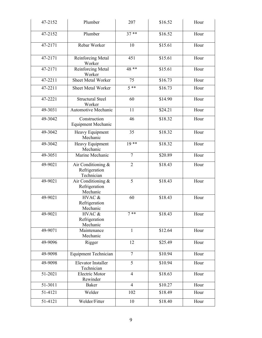| 47-2152     | Plumber                                           | 207            | \$16.52 | Hour |
|-------------|---------------------------------------------------|----------------|---------|------|
| 47-2152     | Plumber                                           | $37**$         | \$16.52 | Hour |
| 47-2171     | Rebar Worker                                      | 10             | \$15.61 | Hour |
| 47-2171     | Reinforcing Metal<br>Worker                       | 451            | \$15.61 | Hour |
| 47-2171     | Reinforcing Metal<br>Worker                       | 48 **          | \$15.61 | Hour |
| $47 - 2211$ | <b>Sheet Metal Worker</b>                         | 75             | \$16.73 | Hour |
| 47-2211     | Sheet Metal Worker                                | $5***$         | \$16.73 | Hour |
| 47-2221     | <b>Structural Steel</b><br>Worker                 | 60             | \$14.90 | Hour |
| 49-3031     | Automotive Mechanic                               | 11             | \$24.21 | Hour |
| 49-3042     | Construction<br><b>Equipment Mechanic</b>         | 46             | \$18.32 | Hour |
| 49-3042     | Heavy Equipment<br>Mechanic                       | 35             | \$18.32 | Hour |
| 49-3042     | Heavy Equipment<br>Mechanic                       | $19$ **        | \$18.32 | Hour |
| 49-3051     | Marine Mechanic                                   | $\overline{7}$ | \$20.89 | Hour |
| 49-9021     | Air Conditioning &<br>Refrigeration<br>Technician | $\overline{2}$ | \$18.43 | Hour |
| 49-9021     | Air Conditioning &<br>Refrigeration<br>Mechanic   | 5              | \$18.43 | Hour |
| 49-9021     | HVAC &<br>Refrigeration<br>Mechanic               | 60             | \$18.43 | Hour |
| 49-9021     | HVAC &<br>Refrigeration<br>Mechanic               | $7**$          | \$18.43 | Hour |
| 49-9071     | Maintenance<br>Mechanic                           | 1              | \$12.64 | Hour |
| 49-9096     | Rigger                                            | 12             | \$25.49 | Hour |
| 49-9098     | <b>Equipment Technician</b>                       | $\overline{7}$ | \$10.94 | Hour |
| 49-9098     | <b>Elevator Installer</b><br>Technician           | $\overline{5}$ | \$10.94 | Hour |
| 51-2021     | <b>Electric Motor</b><br>Rewinder                 | $\overline{4}$ | \$18.63 | Hour |
| 51-3011     | Baker                                             | $\overline{4}$ | \$10.27 | Hour |
| 51-4121     | Welder                                            | 102            | \$18.49 | Hour |
| 51-4121     | Welder/Fitter                                     | 10             | \$18.40 | Hour |